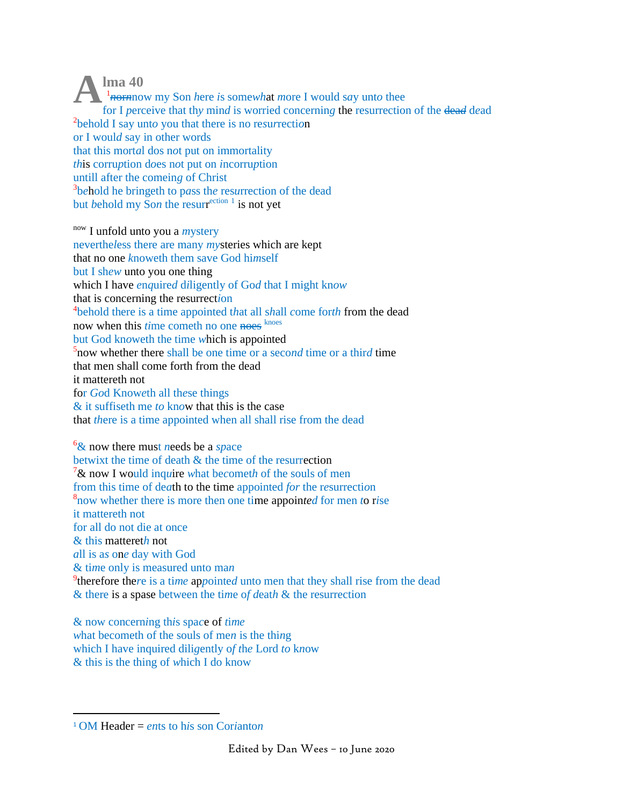$\mathbf{Im} \mathbf{a}$  40  $\frac{1}{2}$  *h*ormow my Son here is somewhat more I would say unto thee for I perceive that thy mind is worried concerning the resurrection of the dead dead <sup>2</sup>behold I say unto you that there is no resurrection or I would say in other words that this mortal dos not put on immortality *this* corruption does not put on *incorruption* untill after the comeing of Christ <sup>3</sup>behold he bringeth to pass the resurrection of the dead but behold my Son the resurrection  $\frac{1}{1}$  is not yet

now I unfold unto you a *mystery* nevertheless there are many *mysteries* which are kept that no one knoweth them save God himself but I shew unto you one thing which I have enquired diligently of God that I might know that is concerning the resurrection <sup>4</sup>behold there is a time appointed that all shall come forth from the dead now when this *time* cometh no one noes knoes but God knoweth the time which is appointed  $5$  now whether there shall be one time or a second time or a third time that men shall come forth from the dead it mattereth not for God Knoweth all these things  $\&$  it suffiseth me to know that this is the case that *there* is a time appointed when all shall rise from the dead

 $\frac{6}{x}$  now there must needs be a space betwixt the time of death & the time of the resurrection  $7\&$  now I would inquire what becometh of the souls of men from this time of death to the time appointed for the resurrection <sup>8</sup>now whether there is more then one time appointed for men to rise it mattereth not for all do not die at once  $\&$  this mattereth not all is as one day with God  $&$  time only is measured unto man <sup>9</sup>therefore there is a time appointed unto men that they shall rise from the dead & there is a spase between the time of death & the resurrection

 $\&$  now concerning this space of time what becometh of the souls of men is the thing which I have inquired diligently of the Lord to know  $\&$  this is the thing of which I do know

<sup>&</sup>lt;sup>1</sup> OM Header = *ents* to his son Corianton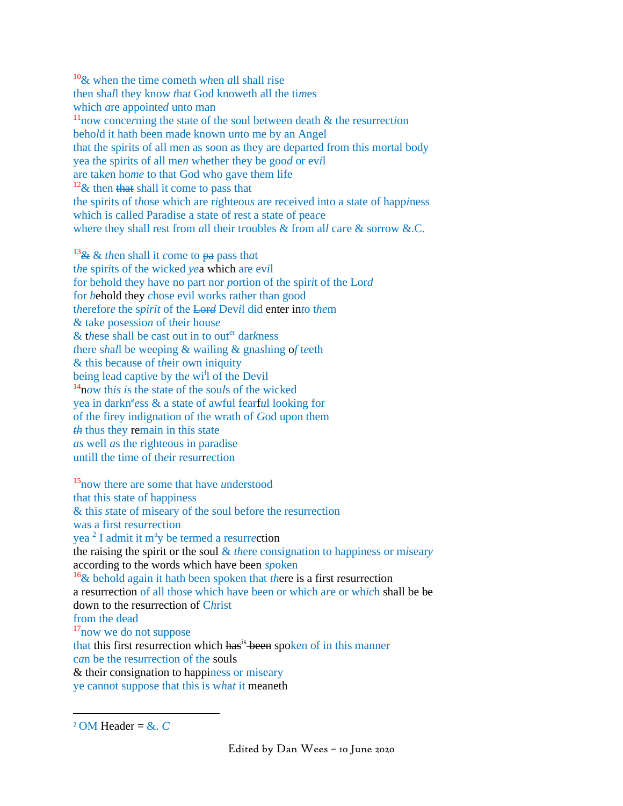<sup>10</sup>& when the time cometh *wh*en *a*ll shall rise then sha*l*l they know *t*ha*t* God knoweth all the ti*m*es which *a*re appointe*d* unto man <sup>11</sup>now conce*r*ning the state of the soul between death & the resurrect*i*on beho*l*d it hath been made known u*n*to me by an Angel that the spirits of all men as s*o*on as they are departed from this mortal body yea the spirits of all me*n* whether they be goo*d* or ev*i*l are tak*e*n ho*me* to that God who gave them life  $12\&$  then that shall it come to pass that the spirits of t*h*ose which are r*i*ghteou*s* are received into a state of happ*i*ness which is called Paradise a state of rest a state of pea*c*e where they shall rest from *a*ll their t*r*oubles & fr*o*m al*l* ca*r*e & sorrow &.C.

<sup>13</sup>& & *th*en shall it *c*ome to pa pass th*a*t t*h*e spir*i*ts of the wicked *ye*a which are ev*i*l for behold they have no part nor *p*ortion of the spir*i*t of the Lor*d* for *b*ehold they *c*hose evil works rather than good t*h*erefor*e* the s*pirit* of the Lor*d* Dev*i*l did enter in*t*o t*he*m & take posessio*n* of t*h*eir hous*e* & these shall be cast out in to outer darkness *t*here s*h*a*l*l be weeping & wailing & gna*s*hing o*f* t*e*eth & this because of t*h*eir own iniquity being lead capti*v*e by th*e* wi<sup>l</sup> l of the Devil <sup>14</sup>n*o*w th*is i*s the state of the sou*l*s of the wicked yea in darkness & a state of awful fearful looking for of the firey indignation of the wrath of *G*od upon them *th* thus they remain in this state *as* well *a*s the righteous in paradise untill the time of th*e*ir resurr*e*ction

<sup>15</sup>now there are some that have *u*nderstood that this state of happiness & thi*s s*tate of miseary of the soul before the resurrection was a first resu*r*rection yea<sup>2</sup> I admit it m<sup>a</sup>y be termed a resurrection the raising the spirit or the soul & *th*ere con*s*ignation to happiness or m*i*sear*y* according to the words which have been *sp*oken <sup>16</sup>& behold again it hath been spoken that *th*ere is a first resurrection a resurrection of all tho*s*e which have been or which a*r*e or wh*ic*h shall be be down to the resurrection of C*h*rist from the dead <sup>17</sup>now we do not suppose that this first resurrection which has<sup>is</sup> been spoken of in this manner c*a*n be the res*u*rrection of the souls & their consignation to happiness or miseary ye cannot suppose that this is w*h*a*t* it meaneth

<sup>&</sup>lt;sup>2</sup> OM Header =  $&c$ .